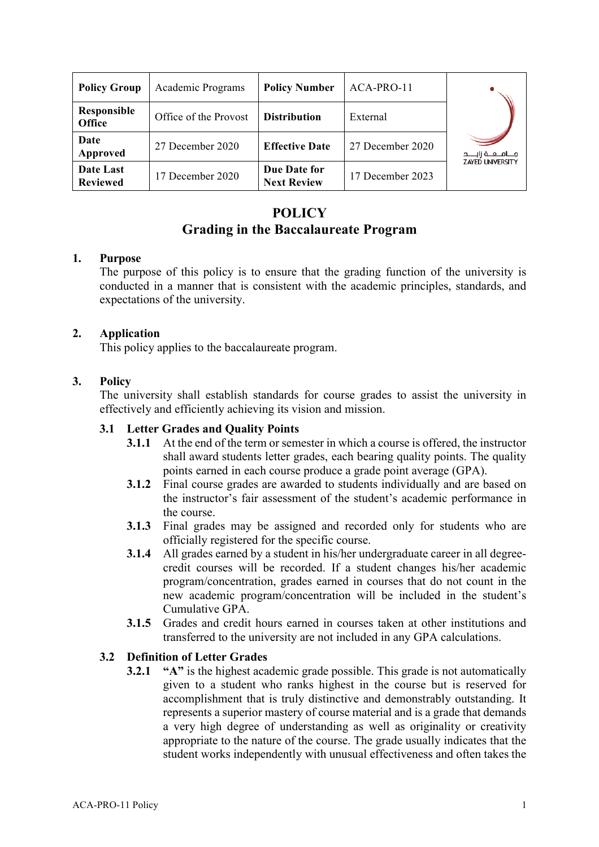| <b>Policy Group</b>          | Academic Programs     | <b>Policy Number</b>               | ACA-PRO-11       |                                                 |
|------------------------------|-----------------------|------------------------------------|------------------|-------------------------------------------------|
| Responsible<br>Office        | Office of the Provost | <b>Distribution</b>                | External         |                                                 |
| Date<br>Approved             | 27 December 2020      | <b>Effective Date</b>              | 27 December 2020 | مــامــعــة زانــــد<br><b>ZAYED UNIVERSITY</b> |
| Date Last<br><b>Reviewed</b> | 17 December 2020      | Due Date for<br><b>Next Review</b> | 17 December 2023 |                                                 |

# **POLICY Grading in the Baccalaureate Program**

### **1. Purpose**

The purpose of this policy is to ensure that the grading function of the university is conducted in a manner that is consistent with the academic principles, standards, and expectations of the university.

# **2. Application**

This policy applies to the baccalaureate program.

# **3. Policy**

The university shall establish standards for course grades to assist the university in effectively and efficiently achieving its vision and mission.

# **3.1 Letter Grades and Quality Points**

- **3.1.1** At the end of the term or semester in which a course is offered, the instructor shall award students letter grades, each bearing quality points. The quality points earned in each course produce a grade point average (GPA).
- **3.1.2** Final course grades are awarded to students individually and are based on the instructor's fair assessment of the student's academic performance in the course.
- **3.1.3** Final grades may be assigned and recorded only for students who are officially registered for the specific course.
- **3.1.4** All grades earned by a student in his/her undergraduate career in all degreecredit courses will be recorded. If a student changes his/her academic program/concentration, grades earned in courses that do not count in the new academic program/concentration will be included in the student's Cumulative GPA.
- **3.1.5** Grades and credit hours earned in courses taken at other institutions and transferred to the university are not included in any GPA calculations.

# **3.2 Definition of Letter Grades**

**3.2.1 "A"** is the highest academic grade possible. This grade is not automatically given to a student who ranks highest in the course but is reserved for accomplishment that is truly distinctive and demonstrably outstanding. It represents a superior mastery of course material and is a grade that demands a very high degree of understanding as well as originality or creativity appropriate to the nature of the course. The grade usually indicates that the student works independently with unusual effectiveness and often takes the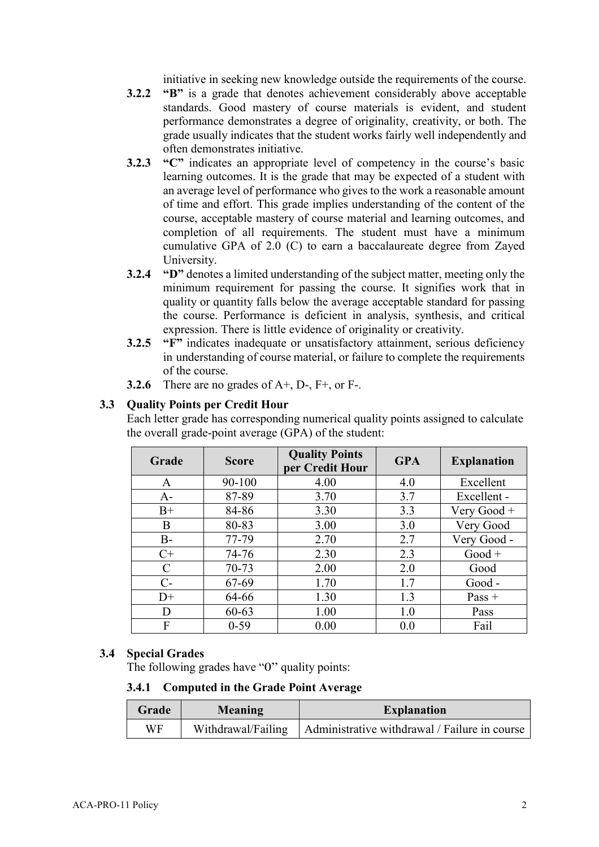initiative in seeking new knowledge outside the requirements of the course.

- **3.2.2 "B"** is a grade that denotes achievement considerably above acceptable standards. Good mastery of course materials is evident, and student performance demonstrates a degree of originality, creativity, or both. The grade usually indicates that the student works fairly well independently and often demonstrates initiative.
- **3.2.3 "C"** indicates an appropriate level of competency in the course's basic learning outcomes. It is the grade that may be expected of a student with an average level of performance who gives to the work a reasonable amount of time and effort. This grade implies understanding of the content of the course, acceptable mastery of course material and learning outcomes, and completion of all requirements. The student must have a minimum cumulative GPA of 2.0 (C) to earn a baccalaureate degree from Zayed **University**
- **3.2.4 "D"** denotes a limited understanding of the subject matter, meeting only the minimum requirement for passing the course. It signifies work that in quality or quantity falls below the average acceptable standard for passing the course. Performance is deficient in analysis, synthesis, and critical expression. There is little evidence of originality or creativity.
- **3.2.5 "F"** indicates inadequate or unsatisfactory attainment, serious deficiency in understanding of course material, or failure to complete the requirements of the course.
- **3.2.6** There are no grades of A+, D-, F+, or F-.

# **3.3 Quality Points per Credit Hour**

Each letter grade has corresponding numerical quality points assigned to calculate the overall grade-point average (GPA) of the student:

| Grade | <b>Score</b> | <b>Quality Points</b><br>per Credit Hour | <b>GPA</b> | <b>Explanation</b> |
|-------|--------------|------------------------------------------|------------|--------------------|
| A     | $90 - 100$   | 4.00                                     | 4.0        | Excellent          |
| $A-$  | 87-89        | 3.70                                     | 3.7        | Excellent -        |
| $B+$  | 84-86        | 3.30                                     | 3.3        | Very Good $+$      |
| B     | 80-83        | 3.00                                     | 3.0        | Very Good          |
| $B-$  | 77-79        | 2.70                                     | 2.7        | Very Good -        |
| $C+$  | 74-76        | 2.30                                     | 2.3        | $Good +$           |
| C     | 70-73        | 2.00                                     | 2.0        | Good               |
| $C-$  | 67-69        | 1.70                                     | 1.7        | Good -             |
| $D+$  | 64-66        | 1.30                                     | 1.3        | Pass $+$           |
| D     | $60 - 63$    | 1.00                                     | 1.0        | Pass               |
| F     | $0 - 59$     | 0.00                                     | 0.0        | Fail               |

# **3.4 Special Grades**

The following grades have "0" quality points:

#### **3.4.1 Computed in the Grade Point Average**

| Grade | Meaning            | <b>Explanation</b>                            |
|-------|--------------------|-----------------------------------------------|
| WF    | Withdrawal/Failing | Administrative withdrawal / Failure in course |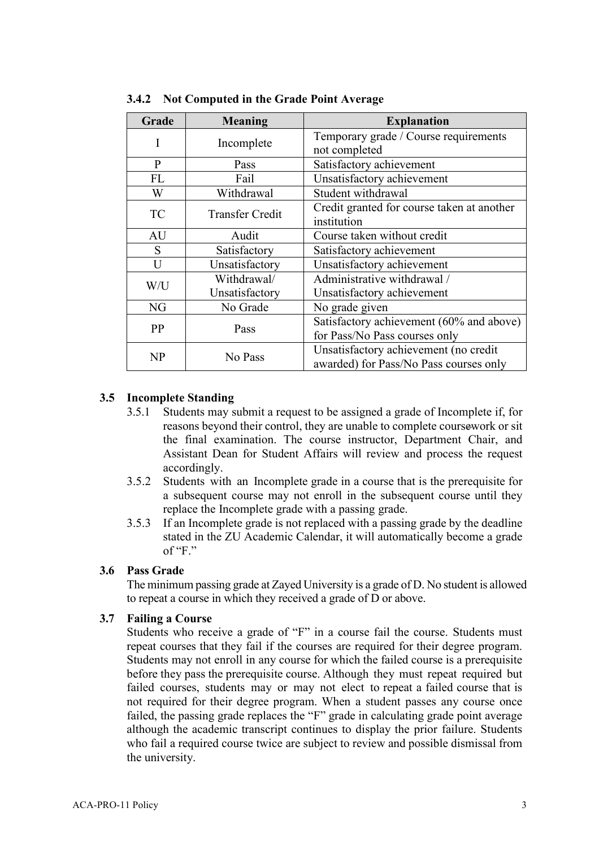| Grade     | <b>Meaning</b>         | <b>Explanation</b>                         |
|-----------|------------------------|--------------------------------------------|
| I         | Incomplete             | Temporary grade / Course requirements      |
|           |                        | not completed                              |
| P         | Pass                   | Satisfactory achievement                   |
| FL        | Fail                   | Unsatisfactory achievement                 |
| W         | Withdrawal             | Student withdrawal                         |
| <b>TC</b> | <b>Transfer Credit</b> | Credit granted for course taken at another |
|           |                        | institution                                |
| AU        | Audit                  | Course taken without credit                |
| S         | Satisfactory           | Satisfactory achievement                   |
| U         | Unsatisfactory         | Unsatisfactory achievement                 |
| W/U       | Withdrawal/            | Administrative withdrawal /                |
|           | Unsatisfactory         | Unsatisfactory achievement                 |
| NG        | No Grade               | No grade given                             |
| PP        | Pass                   | Satisfactory achievement (60% and above)   |
|           |                        | for Pass/No Pass courses only              |
| NP        | No Pass                | Unsatisfactory achievement (no credit      |
|           |                        | awarded) for Pass/No Pass courses only     |

**3.4.2 Not Computed in the Grade Point Average**

### **3.5 Incomplete Standing**

- 3.5.1 Students may submit a request to be assigned a grade of Incomplete if, for reasons beyond their control, they are unable to complete coursework or sit the final examination. The course instructor, Department Chair, and Assistant Dean for Student Affairs will review and process the request accordingly.
- 3.5.2 Students with an Incomplete grade in a course that is the prerequisite for a subsequent course may not enroll in the subsequent course until they replace the Incomplete grade with a passing grade.
- 3.5.3 If an Incomplete grade is not replaced with a passing grade by the deadline stated in the ZU Academic Calendar, it will automatically become a grade of " $F$ "

#### **3.6 Pass Grade**

The minimum passing grade at Zayed University is a grade of D. No student is allowed to repeat a course in which they received a grade of D or above.

#### **3.7 Failing a Course**

Students who receive a grade of "F" in a course fail the course. Students must repeat courses that they fail if the courses are required for their degree program. Students may not enroll in any course for which the failed course is a prerequisite before they pass the prerequisite course. Although they must repeat required but failed courses, students may or may not elect to repeat a failed course that is not required for their degree program. When a student passes any course once failed, the passing grade replaces the "F" grade in calculating grade point average although the academic transcript continues to display the prior failure. Students who fail a required course twice are subject to review and possible dismissal from the university.